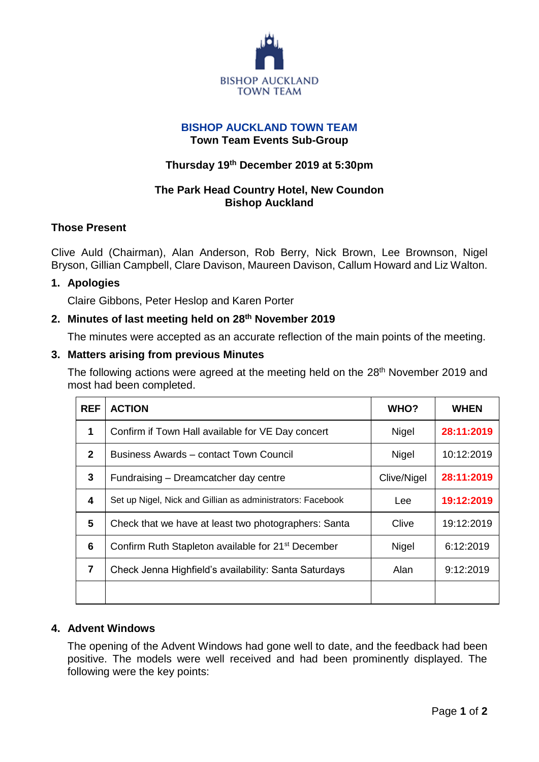

### **BISHOP AUCKLAND TOWN TEAM Town Team Events Sub-Group**

# **Thursday 19th December 2019 at 5:30pm**

# **The Park Head Country Hotel, New Coundon Bishop Auckland**

### **Those Present**

Clive Auld (Chairman), Alan Anderson, Rob Berry, Nick Brown, Lee Brownson, Nigel Bryson, Gillian Campbell, Clare Davison, Maureen Davison, Callum Howard and Liz Walton.

### **1. Apologies**

Claire Gibbons, Peter Heslop and Karen Porter

### **2. Minutes of last meeting held on 28th November 2019**

The minutes were accepted as an accurate reflection of the main points of the meeting.

### **3. Matters arising from previous Minutes**

The following actions were agreed at the meeting held on the 28<sup>th</sup> November 2019 and most had been completed.

| <b>REF</b>   | <b>ACTION</b>                                                  | WHO?        | <b>WHEN</b> |
|--------------|----------------------------------------------------------------|-------------|-------------|
| 1            | Confirm if Town Hall available for VE Day concert              | Nigel       | 28:11:2019  |
| $\mathbf{2}$ | Business Awards - contact Town Council                         | Nigel       | 10:12:2019  |
| 3            | Fundraising – Dreamcatcher day centre                          | Clive/Nigel | 28:11:2019  |
| 4            | Set up Nigel, Nick and Gillian as administrators: Facebook     | Lee         | 19:12:2019  |
| 5            | Check that we have at least two photographers: Santa           | Clive       | 19:12:2019  |
| 6            | Confirm Ruth Stapleton available for 21 <sup>st</sup> December | Nigel       | 6:12:2019   |
| 7            | Check Jenna Highfield's availability: Santa Saturdays          | Alan        | 9:12:2019   |
|              |                                                                |             |             |

## **4. Advent Windows**

The opening of the Advent Windows had gone well to date, and the feedback had been positive. The models were well received and had been prominently displayed. The following were the key points: